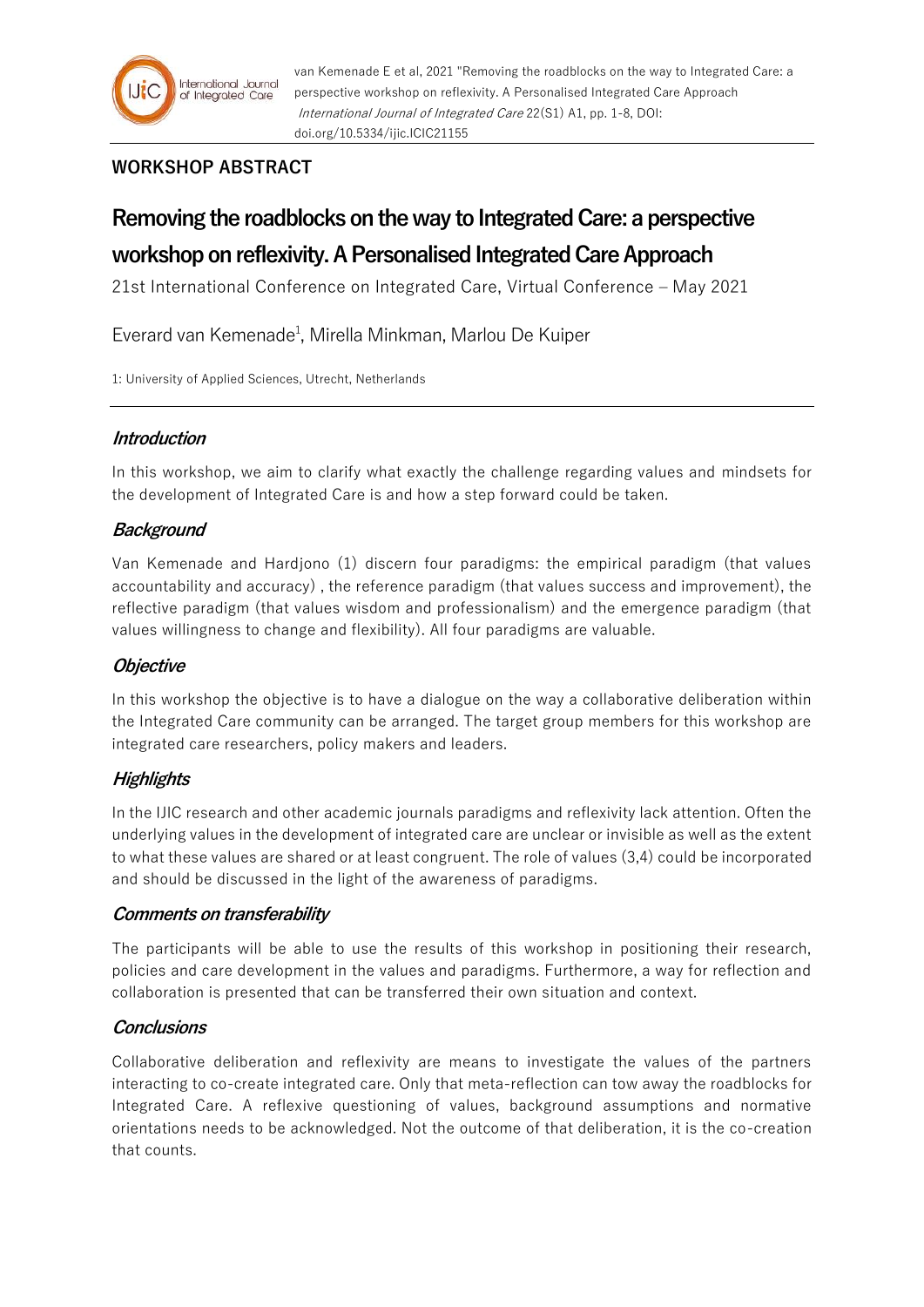

# **WORKSHOP ABSTRACT**

# **Removing the roadblocks on the way to Integrated Care: a perspective workshop on reflexivity. A Personalised Integrated Care Approach**

21st International Conference on Integrated Care, Virtual Conference – May 2021

Everard van Kemenade<sup>1</sup>, Mirella Minkman, Marlou De Kuiper

1: University of Applied Sciences, Utrecht, Netherlands

## **Introduction**

In this workshop, we aim to clarify what exactly the challenge regarding values and mindsets for the development of Integrated Care is and how a step forward could be taken.

## **Background**

Van Kemenade and Hardjono (1) discern four paradigms: the empirical paradigm (that values accountability and accuracy) , the reference paradigm (that values success and improvement), the reflective paradigm (that values wisdom and professionalism) and the emergence paradigm (that values willingness to change and flexibility). All four paradigms are valuable.

### **Objective**

In this workshop the objective is to have a dialogue on the way a collaborative deliberation within the Integrated Care community can be arranged. The target group members for this workshop are integrated care researchers, policy makers and leaders.

### **Highlights**

In the IJIC research and other academic journals paradigms and reflexivity lack attention. Often the underlying values in the development of integrated care are unclear or invisible as well as the extent to what these values are shared or at least congruent. The role of values (3,4) could be incorporated and should be discussed in the light of the awareness of paradigms.

### **Comments on transferability**

The participants will be able to use the results of this workshop in positioning their research, policies and care development in the values and paradigms. Furthermore, a way for reflection and collaboration is presented that can be transferred their own situation and context.

### **Conclusions**

Collaborative deliberation and reflexivity are means to investigate the values of the partners interacting to co-create integrated care. Only that meta-reflection can tow away the roadblocks for Integrated Care. A reflexive questioning of values, background assumptions and normative orientations needs to be acknowledged. Not the outcome of that deliberation, it is the co-creation that counts.